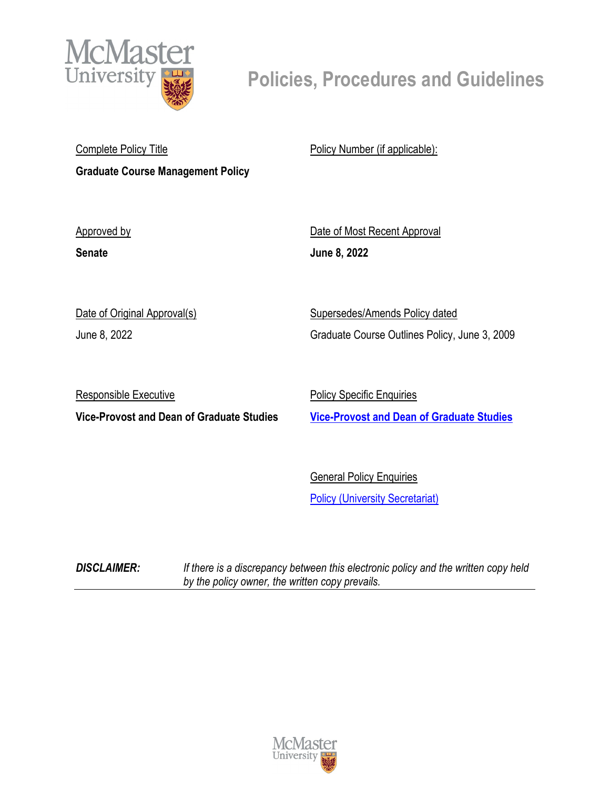

# **Policies, Procedures and Guidelines**

Complete Policy Title **Graduate Course Management Policy** Policy Number (if applicable):

Approved by

**Senate**

Date of Most Recent Approval **June 8, 2022**

Date of Original Approval(s)

June 8, 2022

Supersedes/Amends Policy dated Graduate Course Outlines Policy, June 3, 2009

Responsible Executive

**Vice-Provost and Dean of Graduate Studies**

Policy Specific Enquiries

**[Vice-Provost and Dean of Graduate Studies](mailto:deangrad@mcmaster.ca)**

General Policy Enquiries **[Policy \(University Secretariat\)](mailto:policy@mcmaster.ca?subject=%20Inquiry)** 

*DISCLAIMER: If there is a discrepancy between this electronic policy and the written copy held by the policy owner, the written copy prevails.*

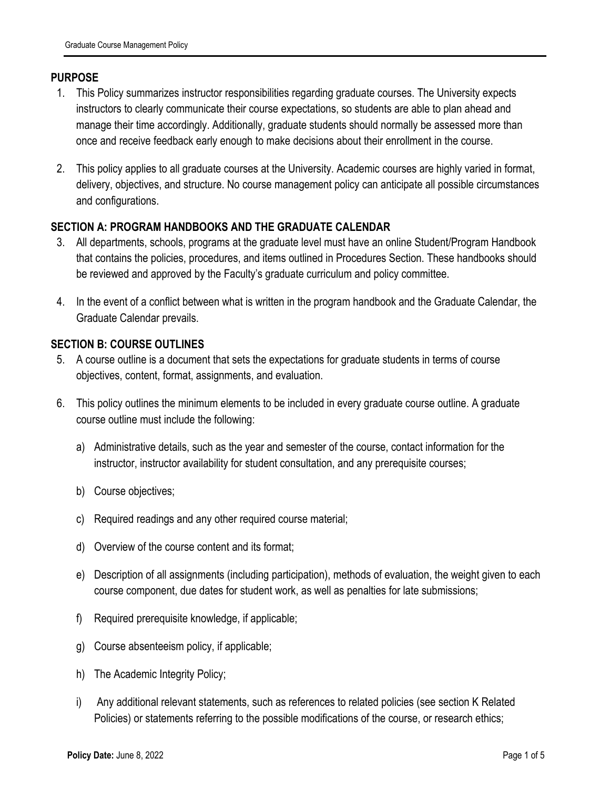# **PURPOSE**

- 1. This Policy summarizes instructor responsibilities regarding graduate courses. The University expects instructors to clearly communicate their course expectations, so students are able to plan ahead and manage their time accordingly. Additionally, graduate students should normally be assessed more than once and receive feedback early enough to make decisions about their enrollment in the course.
- 2. This policy applies to all graduate courses at the University. Academic courses are highly varied in format, delivery, objectives, and structure. No course management policy can anticipate all possible circumstances and configurations.

# **SECTION A: PROGRAM HANDBOOKS AND THE GRADUATE CALENDAR**

- 3. All departments, schools, programs at the graduate level must have an online Student/Program Handbook that contains the policies, procedures, and items outlined in Procedures Section. These handbooks should be reviewed and approved by the Faculty's graduate curriculum and policy committee.
- 4. In the event of a conflict between what is written in the program handbook and the Graduate Calendar, the Graduate Calendar prevails.

#### **SECTION B: COURSE OUTLINES**

- 5. A course outline is a document that sets the expectations for graduate students in terms of course objectives, content, format, assignments, and evaluation.
- 6. This policy outlines the minimum elements to be included in every graduate course outline. A graduate course outline must include the following:
	- a) Administrative details, such as the year and semester of the course, contact information for the instructor, instructor availability for student consultation, and any prerequisite courses;
	- b) Course objectives;
	- c) Required readings and any other required course material;
	- d) Overview of the course content and its format;
	- e) Description of all assignments (including participation), methods of evaluation, the weight given to each course component, due dates for student work, as well as penalties for late submissions;
	- f) Required prerequisite knowledge, if applicable;
	- g) Course absenteeism policy, if applicable;
	- h) The Academic Integrity Policy;
	- i) Any additional relevant statements, such as references to related policies (see section K Related Policies) or statements referring to the possible modifications of the course, or research ethics;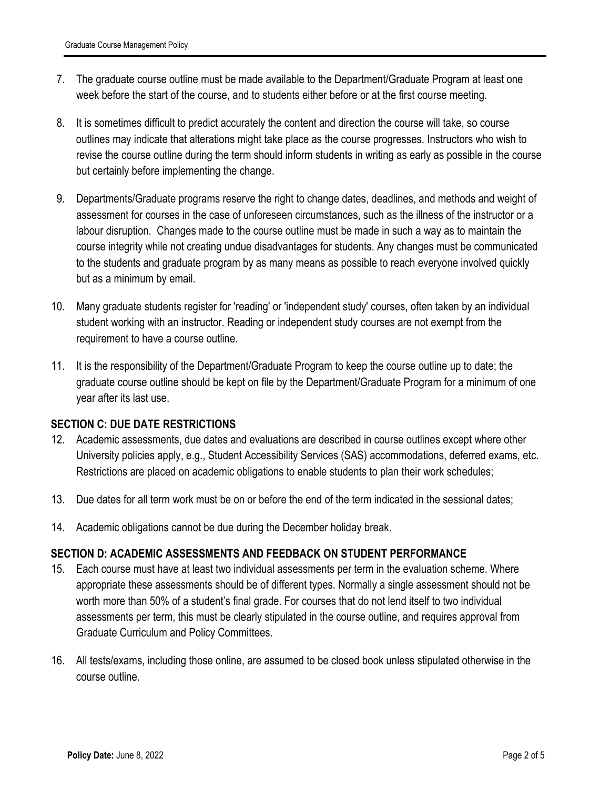- 7. The graduate course outline must be made available to the Department/Graduate Program at least one week before the start of the course, and to students either before or at the first course meeting.
- 8. It is sometimes difficult to predict accurately the content and direction the course will take, so course outlines may indicate that alterations might take place as the course progresses. Instructors who wish to revise the course outline during the term should inform students in writing as early as possible in the course but certainly before implementing the change.
- 9. Departments/Graduate programs reserve the right to change dates, deadlines, and methods and weight of assessment for courses in the case of unforeseen circumstances, such as the illness of the instructor or a labour disruption. Changes made to the course outline must be made in such a way as to maintain the course integrity while not creating undue disadvantages for students. Any changes must be communicated to the students and graduate program by as many means as possible to reach everyone involved quickly but as a minimum by email.
- 10. Many graduate students register for 'reading' or 'independent study' courses, often taken by an individual student working with an instructor. Reading or independent study courses are not exempt from the requirement to have a course outline.
- 11. It is the responsibility of the Department/Graduate Program to keep the course outline up to date; the graduate course outline should be kept on file by the Department/Graduate Program for a minimum of one year after its last use.

# **SECTION C: DUE DATE RESTRICTIONS**

- 12. Academic assessments, due dates and evaluations are described in course outlines except where other University policies apply, e.g., Student Accessibility Services (SAS) accommodations, deferred exams, etc. Restrictions are placed on academic obligations to enable students to plan their work schedules;
- 13. Due dates for all term work must be on or before the end of the term indicated in the sessional dates;
- 14. Academic obligations cannot be due during the December holiday break.

# **SECTION D: ACADEMIC ASSESSMENTS AND FEEDBACK ON STUDENT PERFORMANCE**

- 15. Each course must have at least two individual assessments per term in the evaluation scheme. Where appropriate these assessments should be of different types. Normally a single assessment should not be worth more than 50% of a student's final grade. For courses that do not lend itself to two individual assessments per term, this must be clearly stipulated in the course outline, and requires approval from Graduate Curriculum and Policy Committees.
- 16. All tests/exams, including those online, are assumed to be closed book unless stipulated otherwise in the course outline.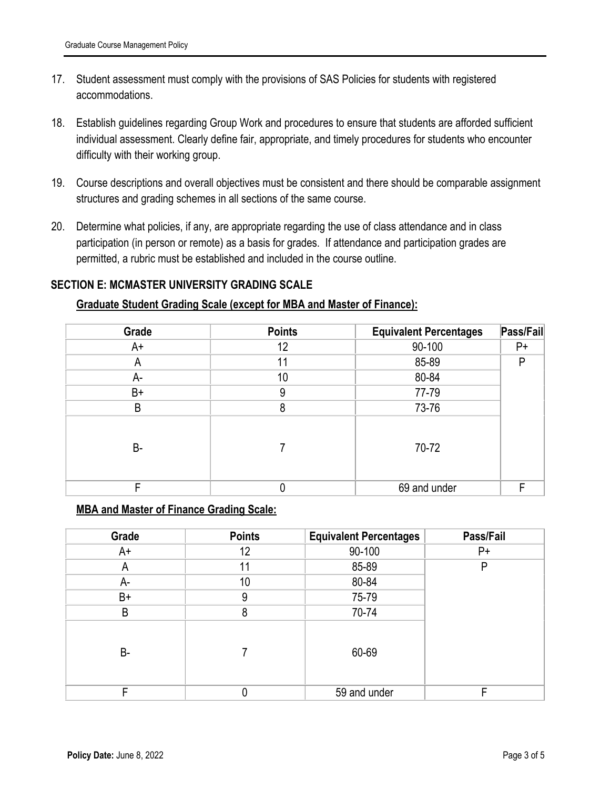- 17. Student assessment must comply with the provisions of SAS Policies for students with registered accommodations.
- 18. Establish guidelines regarding Group Work and procedures to ensure that students are afforded sufficient individual assessment. Clearly define fair, appropriate, and timely procedures for students who encounter difficulty with their working group.
- 19. Course descriptions and overall objectives must be consistent and there should be comparable assignment structures and grading schemes in all sections of the same course.
- 20. Determine what policies, if any, are appropriate regarding the use of class attendance and in class participation (in person or remote) as a basis for grades. If attendance and participation grades are permitted, a rubric must be established and included in the course outline.

# **SECTION E: MCMASTER UNIVERSITY GRADING SCALE**

#### **Graduate Student Grading Scale (except for MBA and Master of Finance):**

| Grade     | <b>Points</b> | <b>Equivalent Percentages</b> | Pass/Fail |
|-----------|---------------|-------------------------------|-----------|
| A+        | 12            | 90-100                        | $P+$      |
| A         | 11            | 85-89                         | P         |
| А-        | 10            | 80-84                         |           |
| B+        | 9             | 77-79                         |           |
| B         | 8             | 73-76                         |           |
| <b>B-</b> |               | 70-72                         |           |
| ⊏         | 0             | 69 and under<br>F             |           |

#### **MBA and Master of Finance Grading Scale:**

| Grade | <b>Points</b>   | <b>Equivalent Percentages</b> | Pass/Fail |
|-------|-----------------|-------------------------------|-----------|
| A+    | 12              | 90-100                        | $P+$      |
| A     | 11              | 85-89                         | P         |
| A-    | 10 <sup>°</sup> | 80-84                         |           |
| B+    | 9               | 75-79                         |           |
| B     | 8               | 70-74                         |           |
| B-    |                 | 60-69                         |           |
| Е     |                 | 59 and under                  | F         |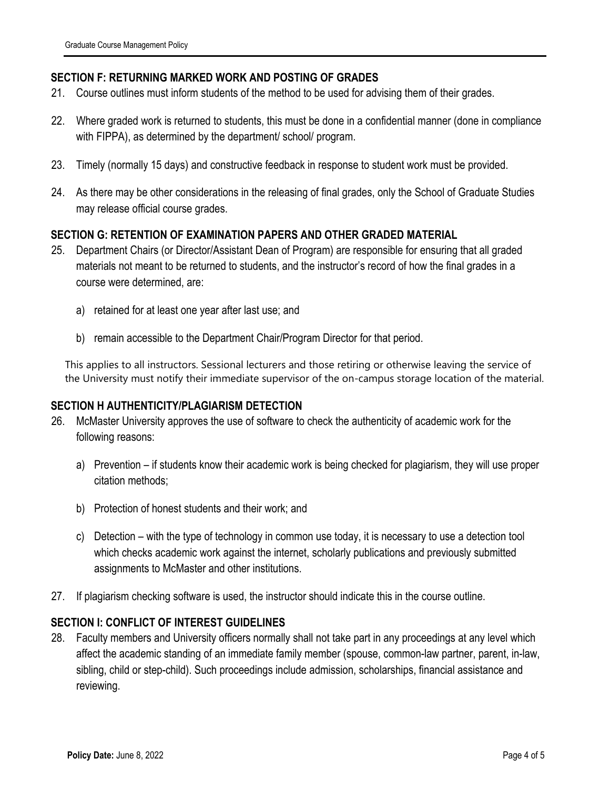## **SECTION F: RETURNING MARKED WORK AND POSTING OF GRADES**

- 21. Course outlines must inform students of the method to be used for advising them of their grades.
- 22. Where graded work is returned to students, this must be done in a confidential manner (done in compliance with FIPPA), as determined by the department/ school/ program.
- 23. Timely (normally 15 days) and constructive feedback in response to student work must be provided.
- 24. As there may be other considerations in the releasing of final grades, only the School of Graduate Studies may release official course grades.

## **SECTION G: RETENTION OF EXAMINATION PAPERS AND OTHER GRADED MATERIAL**

- 25. Department Chairs (or Director/Assistant Dean of Program) are responsible for ensuring that all graded materials not meant to be returned to students, and the instructor's record of how the final grades in a course were determined, are:
	- a) retained for at least one year after last use; and
	- b) remain accessible to the Department Chair/Program Director for that period.

This applies to all instructors. Sessional lecturers and those retiring or otherwise leaving the service of the University must notify their immediate supervisor of the on-campus storage location of the material.

#### **SECTION H AUTHENTICITY/PLAGIARISM DETECTION**

- 26. McMaster University approves the use of software to check the authenticity of academic work for the following reasons:
	- a) Prevention if students know their academic work is being checked for plagiarism, they will use proper citation methods;
	- b) Protection of honest students and their work; and
	- c) Detection with the type of technology in common use today, it is necessary to use a detection tool which checks academic work against the internet, scholarly publications and previously submitted assignments to McMaster and other institutions.
- 27. If plagiarism checking software is used, the instructor should indicate this in the course outline.

# **SECTION I: CONFLICT OF INTEREST GUIDELINES**

28. Faculty members and University officers normally shall not take part in any proceedings at any level which affect the academic standing of an immediate family member (spouse, common-law partner, parent, in-law, sibling, child or step-child). Such proceedings include admission, scholarships, financial assistance and reviewing.